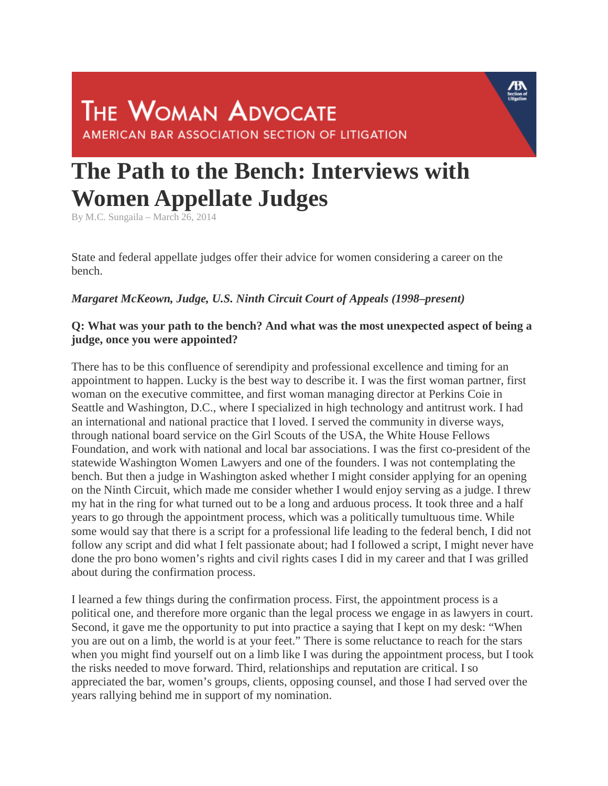# **THE WOMAN ADVOCATE** AMERICAN BAR ASSOCIATION SECTION OF LITIGATION

# **The Path to the Bench: Interviews with Women Appellate Judges**

By M.C. Sungaila – March 26, 2014

State and federal appellate judges offer their advice for women considering a career on the bench.

#### *Margaret McKeown, Judge, U.S. Ninth Circuit Court of Appeals (1998–present)*

#### **Q: What was your path to the bench? And what was the most unexpected aspect of being a judge, once you were appointed?**

There has to be this confluence of serendipity and professional excellence and timing for an appointment to happen. Lucky is the best way to describe it. I was the first woman partner, first woman on the executive committee, and first woman managing director at Perkins Coie in Seattle and Washington, D.C., where I specialized in high technology and antitrust work. I had an international and national practice that I loved. I served the community in diverse ways, through national board service on the Girl Scouts of the USA, the White House Fellows Foundation, and work with national and local bar associations. I was the first co-president of the statewide Washington Women Lawyers and one of the founders. I was not contemplating the bench. But then a judge in Washington asked whether I might consider applying for an opening on the Ninth Circuit, which made me consider whether I would enjoy serving as a judge. I threw my hat in the ring for what turned out to be a long and arduous process. It took three and a half years to go through the appointment process, which was a politically tumultuous time. While some would say that there is a script for a professional life leading to the federal bench, I did not follow any script and did what I felt passionate about; had I followed a script, I might never have done the pro bono women's rights and civil rights cases I did in my career and that I was grilled about during the confirmation process.

I learned a few things during the confirmation process. First, the appointment process is a political one, and therefore more organic than the legal process we engage in as lawyers in court. Second, it gave me the opportunity to put into practice a saying that I kept on my desk: "When you are out on a limb, the world is at your feet." There is some reluctance to reach for the stars when you might find yourself out on a limb like I was during the appointment process, but I took the risks needed to move forward. Third, relationships and reputation are critical. I so appreciated the bar, women's groups, clients, opposing counsel, and those I had served over the years rallying behind me in support of my nomination.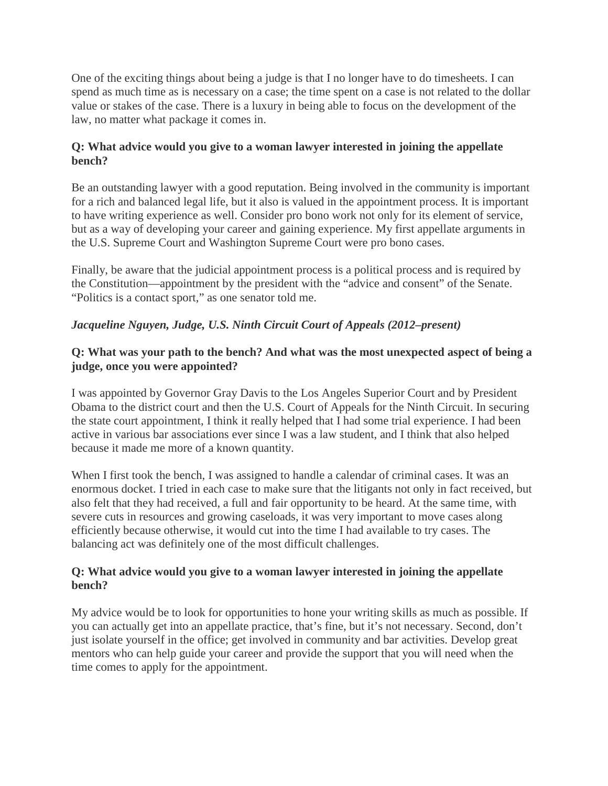One of the exciting things about being a judge is that I no longer have to do timesheets. I can spend as much time as is necessary on a case; the time spent on a case is not related to the dollar value or stakes of the case. There is a luxury in being able to focus on the development of the law, no matter what package it comes in.

#### **Q: What advice would you give to a woman lawyer interested in joining the appellate bench?**

Be an outstanding lawyer with a good reputation. Being involved in the community is important for a rich and balanced legal life, but it also is valued in the appointment process. It is important to have writing experience as well. Consider pro bono work not only for its element of service, but as a way of developing your career and gaining experience. My first appellate arguments in the U.S. Supreme Court and Washington Supreme Court were pro bono cases.

Finally, be aware that the judicial appointment process is a political process and is required by the Constitution—appointment by the president with the "advice and consent" of the Senate. "Politics is a contact sport," as one senator told me.

# *Jacqueline Nguyen, Judge, U.S. Ninth Circuit Court of Appeals (2012–present)*

#### **Q: What was your path to the bench? And what was the most unexpected aspect of being a judge, once you were appointed?**

I was appointed by Governor Gray Davis to the Los Angeles Superior Court and by President Obama to the district court and then the U.S. Court of Appeals for the Ninth Circuit. In securing the state court appointment, I think it really helped that I had some trial experience. I had been active in various bar associations ever since I was a law student, and I think that also helped because it made me more of a known quantity.

When I first took the bench, I was assigned to handle a calendar of criminal cases. It was an enormous docket. I tried in each case to make sure that the litigants not only in fact received, but also felt that they had received, a full and fair opportunity to be heard. At the same time, with severe cuts in resources and growing caseloads, it was very important to move cases along efficiently because otherwise, it would cut into the time I had available to try cases. The balancing act was definitely one of the most difficult challenges.

#### **Q: What advice would you give to a woman lawyer interested in joining the appellate bench?**

My advice would be to look for opportunities to hone your writing skills as much as possible. If you can actually get into an appellate practice, that's fine, but it's not necessary. Second, don't just isolate yourself in the office; get involved in community and bar activities. Develop great mentors who can help guide your career and provide the support that you will need when the time comes to apply for the appointment.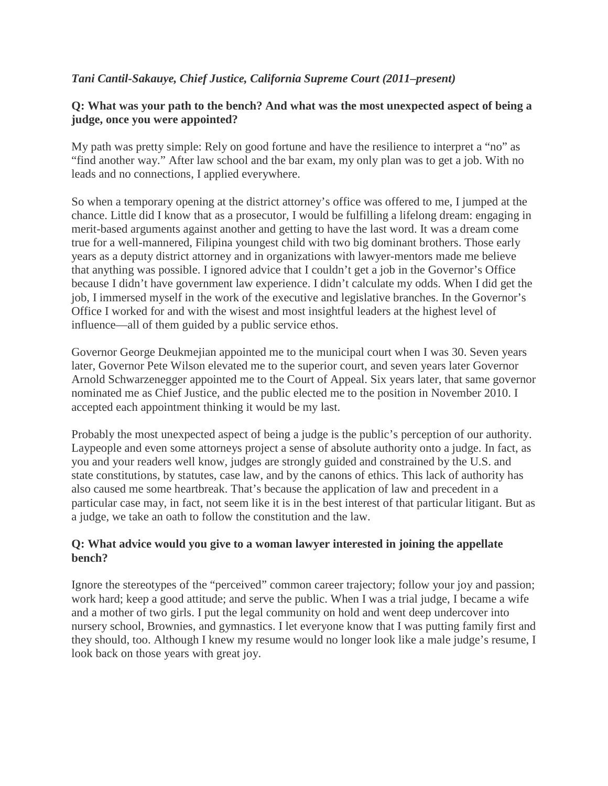# *Tani Cantil-Sakauye, Chief Justice, California Supreme Court (2011–present)*

#### **Q: What was your path to the bench? And what was the most unexpected aspect of being a judge, once you were appointed?**

My path was pretty simple: Rely on good fortune and have the resilience to interpret a "no" as "find another way." After law school and the bar exam, my only plan was to get a job. With no leads and no connections, I applied everywhere.

So when a temporary opening at the district attorney's office was offered to me, I jumped at the chance. Little did I know that as a prosecutor, I would be fulfilling a lifelong dream: engaging in merit-based arguments against another and getting to have the last word. It was a dream come true for a well-mannered, Filipina youngest child with two big dominant brothers. Those early years as a deputy district attorney and in organizations with lawyer-mentors made me believe that anything was possible. I ignored advice that I couldn't get a job in the Governor's Office because I didn't have government law experience. I didn't calculate my odds. When I did get the job, I immersed myself in the work of the executive and legislative branches. In the Governor's Office I worked for and with the wisest and most insightful leaders at the highest level of influence—all of them guided by a public service ethos.

Governor George Deukmejian appointed me to the municipal court when I was 30. Seven years later, Governor Pete Wilson elevated me to the superior court, and seven years later Governor Arnold Schwarzenegger appointed me to the Court of Appeal. Six years later, that same governor nominated me as Chief Justice, and the public elected me to the position in November 2010. I accepted each appointment thinking it would be my last.

Probably the most unexpected aspect of being a judge is the public's perception of our authority. Laypeople and even some attorneys project a sense of absolute authority onto a judge. In fact, as you and your readers well know, judges are strongly guided and constrained by the U.S. and state constitutions, by statutes, case law, and by the canons of ethics. This lack of authority has also caused me some heartbreak. That's because the application of law and precedent in a particular case may, in fact, not seem like it is in the best interest of that particular litigant. But as a judge, we take an oath to follow the constitution and the law.

#### **Q: What advice would you give to a woman lawyer interested in joining the appellate bench?**

Ignore the stereotypes of the "perceived" common career trajectory; follow your joy and passion; work hard; keep a good attitude; and serve the public. When I was a trial judge, I became a wife and a mother of two girls. I put the legal community on hold and went deep undercover into nursery school, Brownies, and gymnastics. I let everyone know that I was putting family first and they should, too. Although I knew my resume would no longer look like a male judge's resume, I look back on those years with great joy.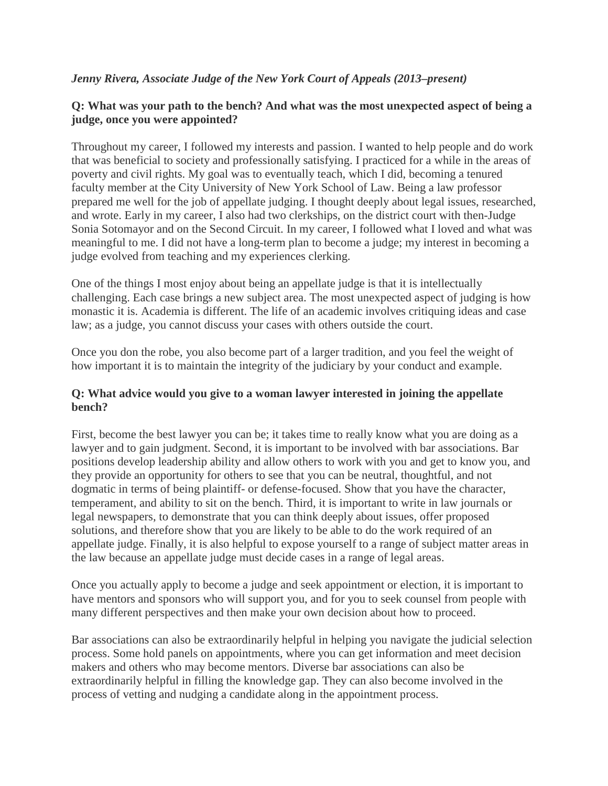#### *Jenny Rivera, Associate Judge of the New York Court of Appeals (2013–present)*

#### **Q: What was your path to the bench? And what was the most unexpected aspect of being a judge, once you were appointed?**

Throughout my career, I followed my interests and passion. I wanted to help people and do work that was beneficial to society and professionally satisfying. I practiced for a while in the areas of poverty and civil rights. My goal was to eventually teach, which I did, becoming a tenured faculty member at the City University of New York School of Law. Being a law professor prepared me well for the job of appellate judging. I thought deeply about legal issues, researched, and wrote. Early in my career, I also had two clerkships, on the district court with then-Judge Sonia Sotomayor and on the Second Circuit. In my career, I followed what I loved and what was meaningful to me. I did not have a long-term plan to become a judge; my interest in becoming a judge evolved from teaching and my experiences clerking.

One of the things I most enjoy about being an appellate judge is that it is intellectually challenging. Each case brings a new subject area. The most unexpected aspect of judging is how monastic it is. Academia is different. The life of an academic involves critiquing ideas and case law; as a judge, you cannot discuss your cases with others outside the court.

Once you don the robe, you also become part of a larger tradition, and you feel the weight of how important it is to maintain the integrity of the judiciary by your conduct and example.

#### **Q: What advice would you give to a woman lawyer interested in joining the appellate bench?**

First, become the best lawyer you can be; it takes time to really know what you are doing as a lawyer and to gain judgment. Second, it is important to be involved with bar associations. Bar positions develop leadership ability and allow others to work with you and get to know you, and they provide an opportunity for others to see that you can be neutral, thoughtful, and not dogmatic in terms of being plaintiff- or defense-focused. Show that you have the character, temperament, and ability to sit on the bench. Third, it is important to write in law journals or legal newspapers, to demonstrate that you can think deeply about issues, offer proposed solutions, and therefore show that you are likely to be able to do the work required of an appellate judge. Finally, it is also helpful to expose yourself to a range of subject matter areas in the law because an appellate judge must decide cases in a range of legal areas.

Once you actually apply to become a judge and seek appointment or election, it is important to have mentors and sponsors who will support you, and for you to seek counsel from people with many different perspectives and then make your own decision about how to proceed.

Bar associations can also be extraordinarily helpful in helping you navigate the judicial selection process. Some hold panels on appointments, where you can get information and meet decision makers and others who may become mentors. Diverse bar associations can also be extraordinarily helpful in filling the knowledge gap. They can also become involved in the process of vetting and nudging a candidate along in the appointment process.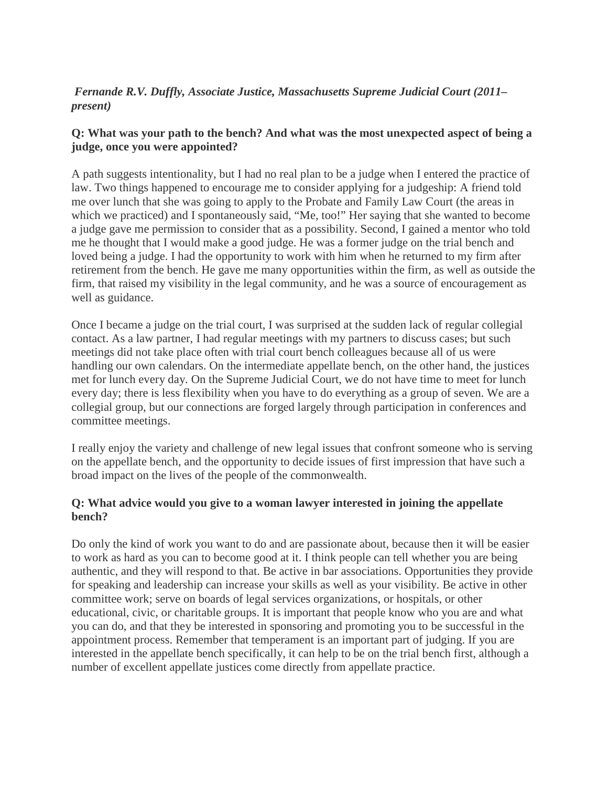# *Fernande R.V. Duffly, Associate Justice, Massachusetts Supreme Judicial Court (2011– present)*

# **Q: What was your path to the bench? And what was the most unexpected aspect of being a judge, once you were appointed?**

A path suggests intentionality, but I had no real plan to be a judge when I entered the practice of law. Two things happened to encourage me to consider applying for a judgeship: A friend told me over lunch that she was going to apply to the Probate and Family Law Court (the areas in which we practiced) and I spontaneously said, "Me, too!" Her saying that she wanted to become a judge gave me permission to consider that as a possibility. Second, I gained a mentor who told me he thought that I would make a good judge. He was a former judge on the trial bench and loved being a judge. I had the opportunity to work with him when he returned to my firm after retirement from the bench. He gave me many opportunities within the firm, as well as outside the firm, that raised my visibility in the legal community, and he was a source of encouragement as well as guidance.

Once I became a judge on the trial court, I was surprised at the sudden lack of regular collegial contact. As a law partner, I had regular meetings with my partners to discuss cases; but such meetings did not take place often with trial court bench colleagues because all of us were handling our own calendars. On the intermediate appellate bench, on the other hand, the justices met for lunch every day. On the Supreme Judicial Court, we do not have time to meet for lunch every day; there is less flexibility when you have to do everything as a group of seven. We are a collegial group, but our connections are forged largely through participation in conferences and committee meetings.

I really enjoy the variety and challenge of new legal issues that confront someone who is serving on the appellate bench, and the opportunity to decide issues of first impression that have such a broad impact on the lives of the people of the commonwealth.

#### **Q: What advice would you give to a woman lawyer interested in joining the appellate bench?**

Do only the kind of work you want to do and are passionate about, because then it will be easier to work as hard as you can to become good at it. I think people can tell whether you are being authentic, and they will respond to that. Be active in bar associations. Opportunities they provide for speaking and leadership can increase your skills as well as your visibility. Be active in other committee work; serve on boards of legal services organizations, or hospitals, or other educational, civic, or charitable groups. It is important that people know who you are and what you can do, and that they be interested in sponsoring and promoting you to be successful in the appointment process. Remember that temperament is an important part of judging. If you are interested in the appellate bench specifically, it can help to be on the trial bench first, although a number of excellent appellate justices come directly from appellate practice.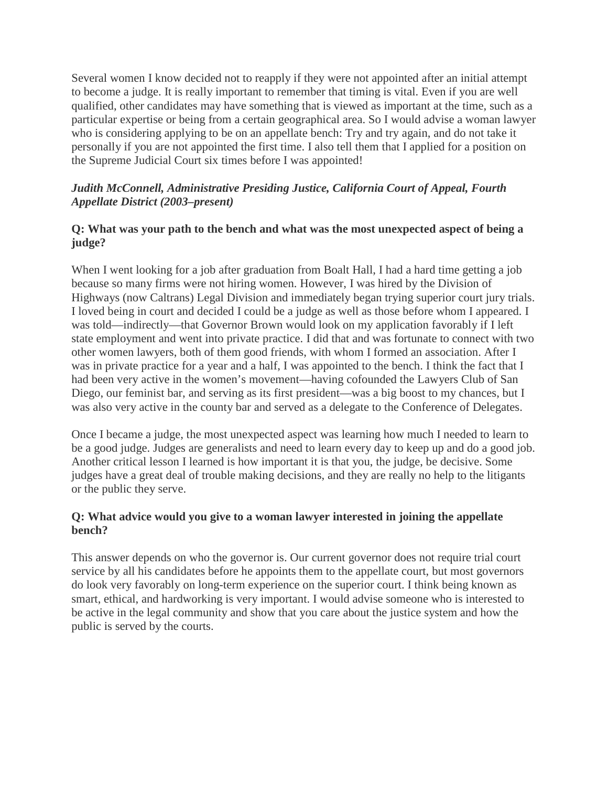Several women I know decided not to reapply if they were not appointed after an initial attempt to become a judge. It is really important to remember that timing is vital. Even if you are well qualified, other candidates may have something that is viewed as important at the time, such as a particular expertise or being from a certain geographical area. So I would advise a woman lawyer who is considering applying to be on an appellate bench: Try and try again, and do not take it personally if you are not appointed the first time. I also tell them that I applied for a position on the Supreme Judicial Court six times before I was appointed!

#### *Judith McConnell, Administrative Presiding Justice, California Court of Appeal, Fourth Appellate District (2003–present)*

#### **Q: What was your path to the bench and what was the most unexpected aspect of being a judge?**

When I went looking for a job after graduation from Boalt Hall, I had a hard time getting a job because so many firms were not hiring women. However, I was hired by the Division of Highways (now Caltrans) Legal Division and immediately began trying superior court jury trials. I loved being in court and decided I could be a judge as well as those before whom I appeared. I was told—indirectly—that Governor Brown would look on my application favorably if I left state employment and went into private practice. I did that and was fortunate to connect with two other women lawyers, both of them good friends, with whom I formed an association. After I was in private practice for a year and a half, I was appointed to the bench. I think the fact that I had been very active in the women's movement—having cofounded the Lawyers Club of San Diego, our feminist bar, and serving as its first president—was a big boost to my chances, but I was also very active in the county bar and served as a delegate to the Conference of Delegates.

Once I became a judge, the most unexpected aspect was learning how much I needed to learn to be a good judge. Judges are generalists and need to learn every day to keep up and do a good job. Another critical lesson I learned is how important it is that you, the judge, be decisive. Some judges have a great deal of trouble making decisions, and they are really no help to the litigants or the public they serve.

#### **Q: What advice would you give to a woman lawyer interested in joining the appellate bench?**

This answer depends on who the governor is. Our current governor does not require trial court service by all his candidates before he appoints them to the appellate court, but most governors do look very favorably on long-term experience on the superior court. I think being known as smart, ethical, and hardworking is very important. I would advise someone who is interested to be active in the legal community and show that you care about the justice system and how the public is served by the courts.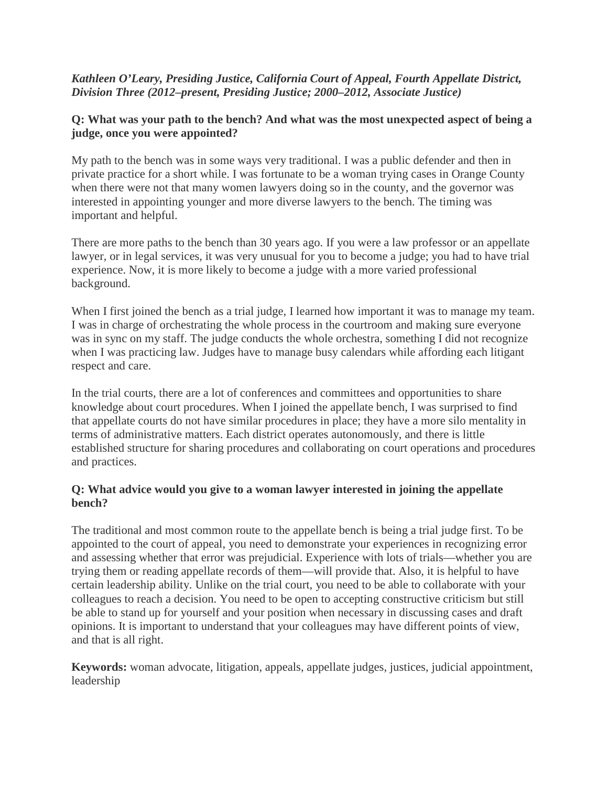#### *Kathleen O'Leary, Presiding Justice, California Court of Appeal, Fourth Appellate District, Division Three (2012–present, Presiding Justice; 2000–2012, Associate Justice)*

#### **Q: What was your path to the bench? And what was the most unexpected aspect of being a judge, once you were appointed?**

My path to the bench was in some ways very traditional. I was a public defender and then in private practice for a short while. I was fortunate to be a woman trying cases in Orange County when there were not that many women lawyers doing so in the county, and the governor was interested in appointing younger and more diverse lawyers to the bench. The timing was important and helpful.

There are more paths to the bench than 30 years ago. If you were a law professor or an appellate lawyer, or in legal services, it was very unusual for you to become a judge; you had to have trial experience. Now, it is more likely to become a judge with a more varied professional background.

When I first joined the bench as a trial judge, I learned how important it was to manage my team. I was in charge of orchestrating the whole process in the courtroom and making sure everyone was in sync on my staff. The judge conducts the whole orchestra, something I did not recognize when I was practicing law. Judges have to manage busy calendars while affording each litigant respect and care.

In the trial courts, there are a lot of conferences and committees and opportunities to share knowledge about court procedures. When I joined the appellate bench, I was surprised to find that appellate courts do not have similar procedures in place; they have a more silo mentality in terms of administrative matters. Each district operates autonomously, and there is little established structure for sharing procedures and collaborating on court operations and procedures and practices.

#### **Q: What advice would you give to a woman lawyer interested in joining the appellate bench?**

The traditional and most common route to the appellate bench is being a trial judge first. To be appointed to the court of appeal, you need to demonstrate your experiences in recognizing error and assessing whether that error was prejudicial. Experience with lots of trials—whether you are trying them or reading appellate records of them—will provide that. Also, it is helpful to have certain leadership ability. Unlike on the trial court, you need to be able to collaborate with your colleagues to reach a decision. You need to be open to accepting constructive criticism but still be able to stand up for yourself and your position when necessary in discussing cases and draft opinions. It is important to understand that your colleagues may have different points of view, and that is all right.

**Keywords:** woman advocate, litigation, appeals, appellate judges, justices, judicial appointment, leadership